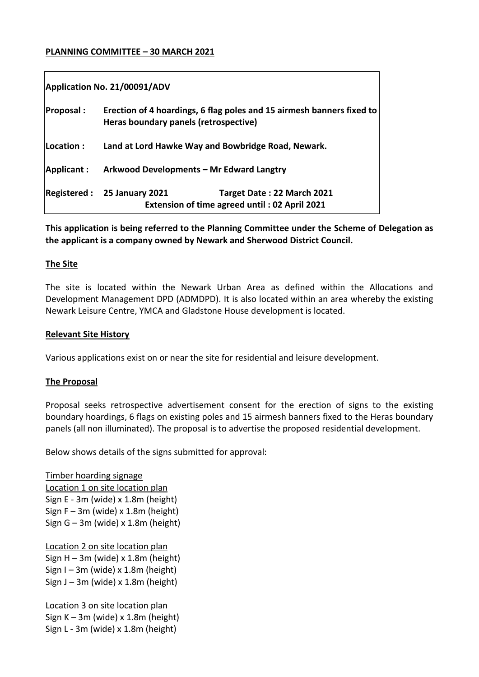### **PLANNING COMMITTEE – 30 MARCH 2021**

| Application No. 21/00091/ADV |                                                                                                                   |
|------------------------------|-------------------------------------------------------------------------------------------------------------------|
| <b>Proposal:</b>             | Erection of 4 hoardings, 6 flag poles and 15 airmesh banners fixed to<br>Heras boundary panels (retrospective)    |
| Location:                    | Land at Lord Hawke Way and Bowbridge Road, Newark.                                                                |
| Applicant :                  | Arkwood Developments - Mr Edward Langtry                                                                          |
|                              | Registered: 25 January 2021<br>Target Date: 22 March 2021<br><b>Extension of time agreed until: 02 April 2021</b> |

**This application is being referred to the Planning Committee under the Scheme of Delegation as the applicant is a company owned by Newark and Sherwood District Council.**

#### **The Site**

The site is located within the Newark Urban Area as defined within the Allocations and Development Management DPD (ADMDPD). It is also located within an area whereby the existing Newark Leisure Centre, YMCA and Gladstone House development is located.

#### **Relevant Site History**

Various applications exist on or near the site for residential and leisure development.

### **The Proposal**

Proposal seeks retrospective advertisement consent for the erection of signs to the existing boundary hoardings, 6 flags on existing poles and 15 airmesh banners fixed to the Heras boundary panels (all non illuminated). The proposal is to advertise the proposed residential development.

Below shows details of the signs submitted for approval:

Timber hoarding signage Location 1 on site location plan Sign E - 3m (wide) x 1.8m (height) Sign  $F - 3m$  (wide) x 1.8m (height) Sign  $G - 3m$  (wide) x 1.8m (height)

Location 2 on site location plan Sign  $H - 3m$  (wide) x 1.8m (height) Sign  $I - 3m$  (wide) x 1.8m (height) Sign J – 3m (wide) x 1.8m (height)

Location 3 on site location plan Sign K – 3m (wide) x 1.8m (height) Sign L - 3m (wide) x 1.8m (height)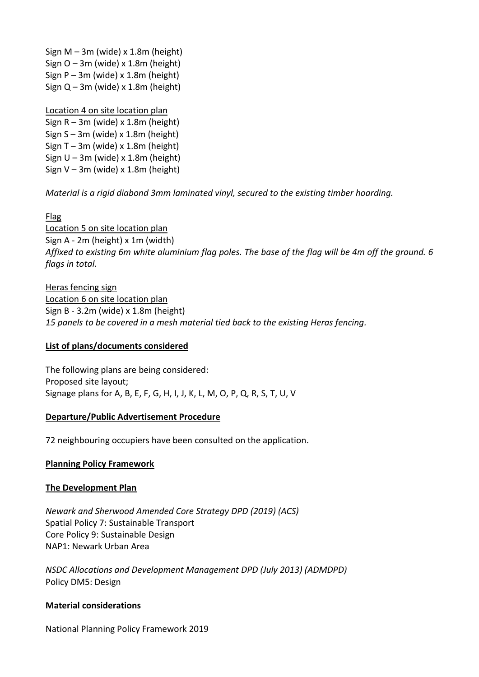Sign  $M - 3m$  (wide) x 1.8m (height) Sign  $O - 3m$  (wide) x 1.8m (height) Sign  $P - 3m$  (wide) x 1.8m (height) Sign  $Q - 3m$  (wide) x 1.8m (height)

Location 4 on site location plan Sign  $R - 3m$  (wide) x 1.8m (height) Sign  $S - 3m$  (wide) x 1.8m (height) Sign  $T - 3m$  (wide) x 1.8m (height) Sign  $U - 3m$  (wide) x 1.8m (height) Sign  $V - 3m$  (wide) x 1.8m (height)

*Material is a rigid diabond 3mm laminated vinyl, secured to the existing timber hoarding.* 

Flag

Location 5 on site location plan Sign A - 2m (height) x 1m (width) *Affixed to existing 6m white aluminium flag poles. The base of the flag will be 4m off the ground. 6 flags in total.*

Heras fencing sign Location 6 on site location plan Sign B - 3.2m (wide) x 1.8m (height) *15 panels to be covered in a mesh material tied back to the existing Heras fencing.*

### **List of plans/documents considered**

The following plans are being considered: Proposed site layout; Signage plans for A, B, E, F, G, H, I, J, K, L, M, O, P, Q, R, S, T, U, V

### **Departure/Public Advertisement Procedure**

72 neighbouring occupiers have been consulted on the application.

### **Planning Policy Framework**

### **The Development Plan**

*Newark and Sherwood Amended Core Strategy DPD (2019) (ACS)* Spatial Policy 7: Sustainable Transport Core Policy 9: Sustainable Design NAP1: Newark Urban Area

*NSDC Allocations and Development Management DPD (July 2013) (ADMDPD)* Policy DM5: Design

### **Material considerations**

National Planning Policy Framework 2019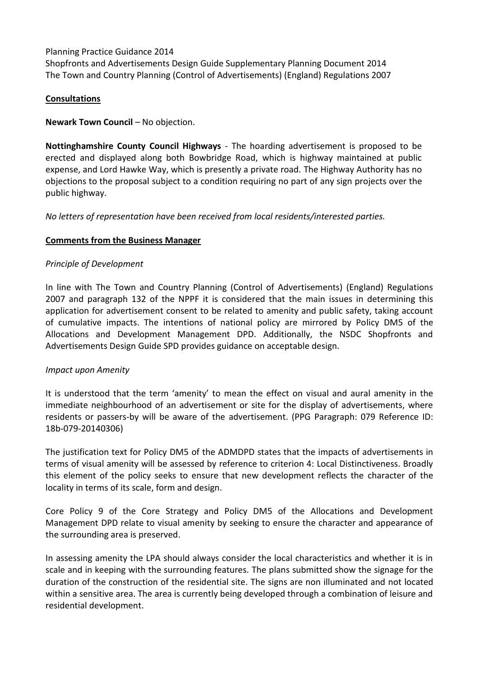## Planning Practice Guidance 2014

Shopfronts and Advertisements Design Guide Supplementary Planning Document 2014 The Town and Country Planning (Control of Advertisements) (England) Regulations 2007

## **Consultations**

## **Newark Town Council** – No objection.

**Nottinghamshire County Council Highways** - The hoarding advertisement is proposed to be erected and displayed along both Bowbridge Road, which is highway maintained at public expense, and Lord Hawke Way, which is presently a private road. The Highway Authority has no objections to the proposal subject to a condition requiring no part of any sign projects over the public highway.

*No letters of representation have been received from local residents/interested parties.*

## **Comments from the Business Manager**

## *Principle of Development*

In line with The Town and Country Planning (Control of Advertisements) (England) Regulations 2007 and paragraph 132 of the NPPF it is considered that the main issues in determining this application for advertisement consent to be related to amenity and public safety, taking account of cumulative impacts. The intentions of national policy are mirrored by Policy DM5 of the Allocations and Development Management DPD. Additionally, the NSDC Shopfronts and Advertisements Design Guide SPD provides guidance on acceptable design.

### *Impact upon Amenity*

It is understood that the term 'amenity' to mean the effect on visual and aural amenity in the immediate neighbourhood of an advertisement or site for the display of advertisements, where residents or passers-by will be aware of the advertisement. (PPG Paragraph: 079 Reference ID: 18b-079-20140306)

The justification text for Policy DM5 of the ADMDPD states that the impacts of advertisements in terms of visual amenity will be assessed by reference to criterion 4: Local Distinctiveness. Broadly this element of the policy seeks to ensure that new development reflects the character of the locality in terms of its scale, form and design.

Core Policy 9 of the Core Strategy and Policy DM5 of the Allocations and Development Management DPD relate to visual amenity by seeking to ensure the character and appearance of the surrounding area is preserved.

In assessing amenity the LPA should always consider the local characteristics and whether it is in scale and in keeping with the surrounding features. The plans submitted show the signage for the duration of the construction of the residential site. The signs are non illuminated and not located within a sensitive area. The area is currently being developed through a combination of leisure and residential development.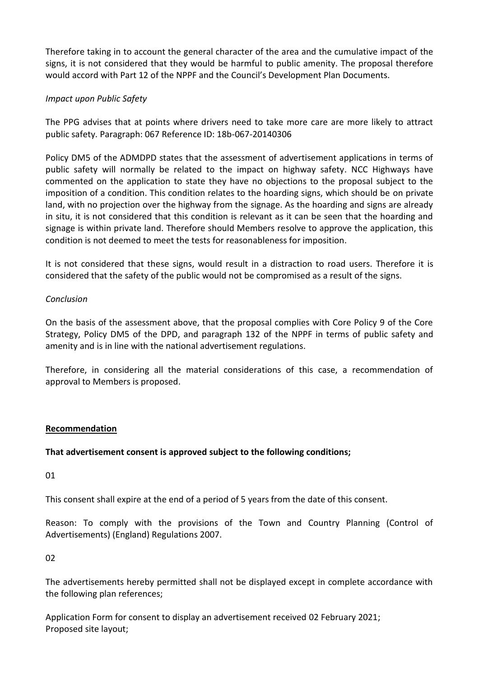Therefore taking in to account the general character of the area and the cumulative impact of the signs, it is not considered that they would be harmful to public amenity. The proposal therefore would accord with Part 12 of the NPPF and the Council's Development Plan Documents.

# *Impact upon Public Safety*

The PPG advises that at points where drivers need to take more care are more likely to attract public safety. Paragraph: 067 Reference ID: 18b-067-20140306

Policy DM5 of the ADMDPD states that the assessment of advertisement applications in terms of public safety will normally be related to the impact on highway safety. NCC Highways have commented on the application to state they have no objections to the proposal subject to the imposition of a condition. This condition relates to the hoarding signs, which should be on private land, with no projection over the highway from the signage. As the hoarding and signs are already in situ, it is not considered that this condition is relevant as it can be seen that the hoarding and signage is within private land. Therefore should Members resolve to approve the application, this condition is not deemed to meet the tests for reasonableness for imposition.

It is not considered that these signs, would result in a distraction to road users. Therefore it is considered that the safety of the public would not be compromised as a result of the signs.

# *Conclusion*

On the basis of the assessment above, that the proposal complies with Core Policy 9 of the Core Strategy, Policy DM5 of the DPD, and paragraph 132 of the NPPF in terms of public safety and amenity and is in line with the national advertisement regulations.

Therefore, in considering all the material considerations of this case, a recommendation of approval to Members is proposed.

# **Recommendation**

# **That advertisement consent is approved subject to the following conditions;**

01

This consent shall expire at the end of a period of 5 years from the date of this consent.

Reason: To comply with the provisions of the Town and Country Planning (Control of Advertisements) (England) Regulations 2007.

02

The advertisements hereby permitted shall not be displayed except in complete accordance with the following plan references;

Application Form for consent to display an advertisement received 02 February 2021; Proposed site layout;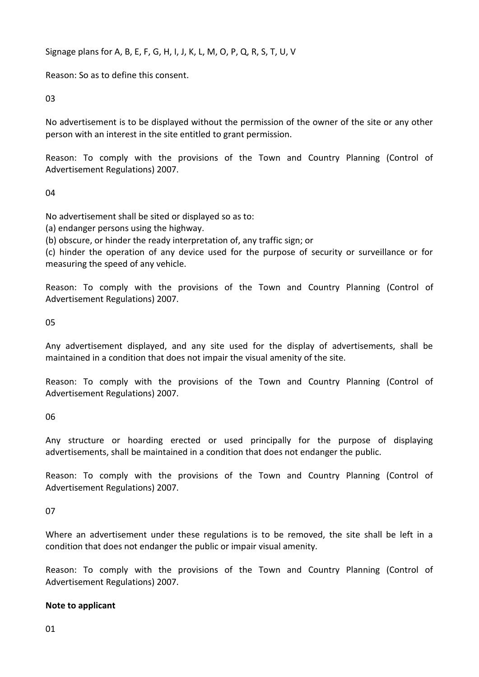Signage plans for A, B, E, F, G, H, I, J, K, L, M, O, P, Q, R, S, T, U, V

Reason: So as to define this consent.

03

No advertisement is to be displayed without the permission of the owner of the site or any other person with an interest in the site entitled to grant permission.

Reason: To comply with the provisions of the Town and Country Planning (Control of Advertisement Regulations) 2007.

 $04$ 

No advertisement shall be sited or displayed so as to:

(a) endanger persons using the highway.

(b) obscure, or hinder the ready interpretation of, any traffic sign; or

(c) hinder the operation of any device used for the purpose of security or surveillance or for measuring the speed of any vehicle.

Reason: To comply with the provisions of the Town and Country Planning (Control of Advertisement Regulations) 2007.

05

Any advertisement displayed, and any site used for the display of advertisements, shall be maintained in a condition that does not impair the visual amenity of the site.

Reason: To comply with the provisions of the Town and Country Planning (Control of Advertisement Regulations) 2007.

06

Any structure or hoarding erected or used principally for the purpose of displaying advertisements, shall be maintained in a condition that does not endanger the public.

Reason: To comply with the provisions of the Town and Country Planning (Control of Advertisement Regulations) 2007.

07

Where an advertisement under these regulations is to be removed, the site shall be left in a condition that does not endanger the public or impair visual amenity.

Reason: To comply with the provisions of the Town and Country Planning (Control of Advertisement Regulations) 2007.

### **Note to applicant**